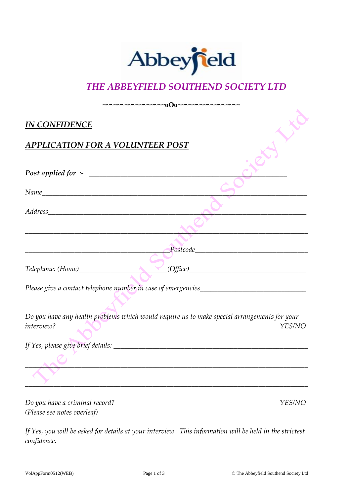

## *THE ABBEYFIELD SOUTHEND SOCIETY LTD*

| <b>IN CONFIDENCE</b>                                                                                              |               |
|-------------------------------------------------------------------------------------------------------------------|---------------|
| <b>APPLICATION FOR A VOLUNTEER POST</b>                                                                           |               |
| Post applied for :- $\_$                                                                                          |               |
|                                                                                                                   |               |
|                                                                                                                   |               |
|                                                                                                                   |               |
| $\bigcap$ $Postcode$                                                                                              |               |
| Telephone: (Home) (Office)                                                                                        |               |
|                                                                                                                   |               |
| Do you have any health problems which would require us to make special arrangements for your<br><i>interview?</i> | YES/NO        |
|                                                                                                                   |               |
|                                                                                                                   |               |
|                                                                                                                   |               |
| Do you have a criminal record?                                                                                    | <b>YES/NO</b> |
| (Please see notes overleaf)                                                                                       |               |

*If Yes, you will be asked for details at your interview. This information will be held in the strictest confidence.*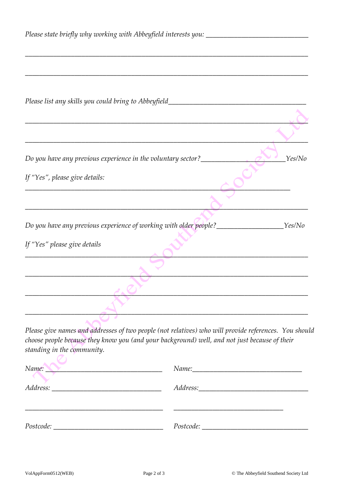| Please state briefly why working with Abbeyfield interests you: _________________       |        |
|-----------------------------------------------------------------------------------------|--------|
|                                                                                         |        |
| Please list any skills you could bring to Abbeyfield____________________________        |        |
|                                                                                         |        |
|                                                                                         |        |
| Do you have any previous experience in the voluntary sector?_____________________       | Yes/No |
| If "Yes", please give details:                                                          |        |
|                                                                                         |        |
| Do you have any previous experience of working with older people?________________Yes/No |        |
| If "Yes" please give details                                                            |        |
|                                                                                         |        |
|                                                                                         |        |
|                                                                                         |        |
|                                                                                         |        |

*Please give names and addresses of two people (not relatives) who will provide references. You should choose people because they know you (and your background) well, and not just because of their standing in the community.*

| Name:                                                      |           |
|------------------------------------------------------------|-----------|
| Address:                                                   |           |
|                                                            |           |
| Postcode:<br><u> 1980 - Andrea Andrew Maria (h. 1980).</u> | Postcode: |